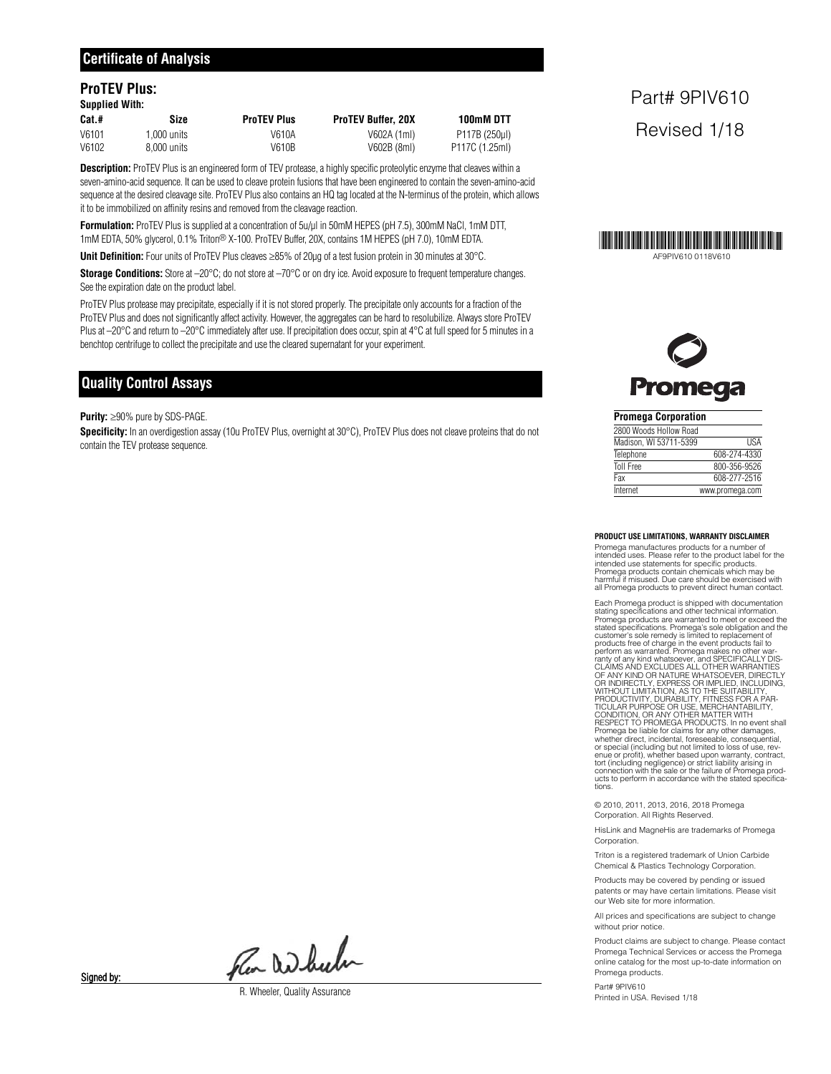#### **ProTEV Plus: Supplied With:**

| Supplied With: |             |                    |                           |                |  |  |  |  |
|----------------|-------------|--------------------|---------------------------|----------------|--|--|--|--|
| Cat.#          | Size        | <b>ProTEV Plus</b> | <b>ProTEV Buffer, 20X</b> | 100mM DTT      |  |  |  |  |
| V6101          | 1.000 units | V610A              | V602A (1ml)               | P117B (250ul)  |  |  |  |  |
| V6102          | 8.000 units | V610B              | V602B (8ml)               | P117C (1.25ml) |  |  |  |  |

**Description:** ProTEV Plus is an engineered form of TEV protease, a highly specific proteolytic enzyme that cleaves within a seven-amino-acid sequence. It can be used to cleave protein fusions that have been engineered to contain the seven-amino-acid sequence at the desired cleavage site. ProTEV Plus also contains an HQ tag located at the N-terminus of the protein, which allows it to be immobilized on affinity resins and removed from the cleavage reaction.

**Formulation:** ProTEV Plus is supplied at a concentration of 5u/µl in 50mM HEPES (pH 7.5), 300mM NaCl, 1mM DTT, 1mM EDTA, 50% glycerol, 0.1% Triton® X-100. ProTEV Buffer, 20X, contains 1M HEPES (pH 7.0), 10mM EDTA.

**Unit Definition:** Four units of ProTEV Plus cleaves ≥85% of 20µg of a test fusion protein in 30 minutes at 30°C.

**Storage Conditions:** Store at –20°C; do not store at –70°C or on dry ice. Avoid exposure to frequent temperature changes. See the expiration date on the product label.

ProTEV Plus protease may precipitate, especially if it is not stored properly. The precipitate only accounts for a fraction of the ProTEV Plus and does not significantly affect activity. However, the aggregates can be hard to resolubilize. Always store ProTEV Plus at –20°C and return to –20°C immediately after use. If precipitation does occur, spin at 4°C at full speed for 5 minutes in a benchtop centrifuge to collect the precipitate and use the cleared supernatant for your experiment.

#### **Quality Control Assays**

**Purity:** ≥90% pure by SDS-PAGE.

**Specificity:** In an overdigestion assay (10u ProTEV Plus, overnight at 30°C), ProTEV Plus does not cleave proteins that do not contain the TEV protease sequence.

## Part# 9PIV610 Revised 1/18



AF9PIV610 0118V610

| <b>Promega Corporation</b> |                 |
|----------------------------|-----------------|
| 2800 Woods Hollow Road     |                 |
| Madison. WI 53711-5399     | <b>IISA</b>     |
| Telephone                  | 608-274-4330    |
| <b>Toll Free</b>           | 800-356-9526    |
| Fax                        | 608-277-2516    |
| Internet                   | www.promega.com |

#### **PRODUCT USE LIMITATIONS, WARRANTY DISCLAIMER**

Promega manufactures products for a number of intended uses. Please refer to the product label for the intended use statements for specific products. Promega products contain chemicals which may be harmful if misused. Due care should be exercised with all Promega products to prevent direct human contact.

Each Promega product is shipped with documentation<br>stating specifications and other technical information.<br>Promega products are warranted to meet or exceed the<br>stated specifications. Promega's sole obligation and the<br>custo OF ANY KIND OR NATURE WHATSOEVER, DIRECTLY<br>OR INDIRECTLY, EXPRESS OR IMPLIED, INCLUDING,<br>WITHOUT LIMITATION, AS TO THE SUITABILITY,<br>PRODUCTIVITY, DURABILITY, FITNESS FOR A PART<br>TICULAR PURPOSE OR USE, MERCHANTABILITY,<br>COND Promega be liable for claims for any other damages, whether direct, incidental, foreseeable, consequential, or special (including but not limited to loss of use, rev-<br>enue or profit), whether based upon warranty, contract,<br>tort (including negligence) or strict liability arising in<br>connection with the sale or the failure of Prome ucts to perform in accordance with the stated specifications.

© 2010, 2011, 2013, 2016, 2018 Promega Corporation. All Rights Reserved.

HisLink and MagneHis are trademarks of Promega Corporation.

Triton is a registered trademark of Union Carbide Chemical & Plastics Technology Corporation.

Products may be covered by pending or issued patents or may have certain limitations. Please visit our Web site for more information.

All prices and specifications are subject to change without prior notice.

Product claims are subject to change. Please contact Promega Technical Services or access the Promega online catalog for the most up-to-date information on Promega products.

Part# 9PIV610 Printed in USA. Revised 1/18

Fler Which

R. Wheeler, Quality Assurance

Signed by: